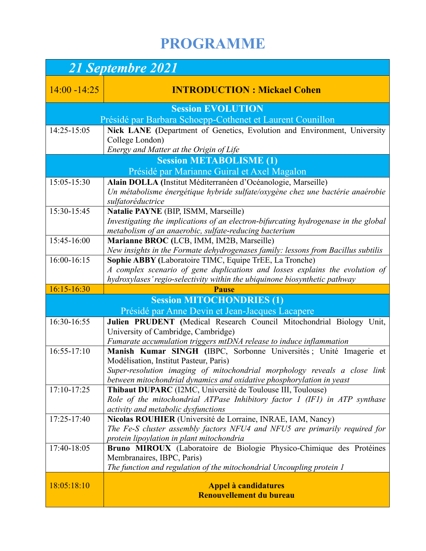## **PROGRAMME**

| 21 Septembre 2021        |                                                                                                                                              |  |
|--------------------------|----------------------------------------------------------------------------------------------------------------------------------------------|--|
| $14:00 - 14:25$          | <b>INTRODUCTION: Mickael Cohen</b>                                                                                                           |  |
| <b>Session EVOLUTION</b> |                                                                                                                                              |  |
|                          | Présidé par Barbara Schoepp-Cothenet et Laurent Counillon                                                                                    |  |
| 14:25-15:05              | Nick LANE (Department of Genetics, Evolution and Environment, University                                                                     |  |
|                          | College London)                                                                                                                              |  |
|                          | Energy and Matter at the Origin of Life                                                                                                      |  |
|                          | <b>Session METABOLISME (1)</b><br>Présidé par Marianne Guiral et Axel Magalon                                                                |  |
| 15:05-15:30              | Alain DOLLA (Institut Méditerranéen d'Océanologie, Marseille)                                                                                |  |
|                          | Un métabolisme énergétique hybride sulfate/oxygène chez une bactérie anaérobie                                                               |  |
|                          | sulfatoréductrice                                                                                                                            |  |
| 15:30-15:45              | Natalie PAYNE (BIP, ISMM, Marseille)                                                                                                         |  |
|                          | Investigating the implications of an electron-bifurcating hydrogenase in the global                                                          |  |
|                          | metabolism of an anaerobic, sulfate-reducing bacterium                                                                                       |  |
| 15:45-16:00              | Marianne BROC (LCB, IMM, IM2B, Marseille)                                                                                                    |  |
| 16:00-16:15              | New insights in the Formate dehydrogenases family: lessons from Bacillus subtilis<br>Sophie ABBY (Laboratoire TIMC, Equipe TrEE, La Tronche) |  |
|                          | A complex scenario of gene duplications and losses explains the evolution of                                                                 |  |
|                          | hydroxylases' regio-selectivity within the ubiquinone biosynthetic pathway                                                                   |  |
| 16:15-16:30              | <b>Pause</b>                                                                                                                                 |  |
|                          | <b>Session MITOCHONDRIES (1)</b>                                                                                                             |  |
|                          | Présidé par Anne Devin et Jean-Jacques Lacapere                                                                                              |  |
| 16:30-16:55              | Julien PRUDENT (Medical Research Council Mitochondrial Biology Unit,                                                                         |  |
|                          | University of Cambridge, Cambridge)                                                                                                          |  |
|                          |                                                                                                                                              |  |
|                          | Fumarate accumulation triggers mtDNA release to induce inflammation                                                                          |  |
| $16:55-17:10$            | Manish Kumar SINGH (IBPC, Sorbonne Universités ; Unité Imagerie et                                                                           |  |
|                          | Modélisation, Institut Pasteur, Paris)                                                                                                       |  |
|                          | Super-resolution imaging of mitochondrial morphology reveals a close link                                                                    |  |
| 17:10-17:25              | between mitochondrial dynamics and oxidative phosphorylation in yeast<br>Thibaut DUPARC (I2MC, Université de Toulouse III, Toulouse)         |  |
|                          | Role of the mitochondrial ATPase Inhibitory factor 1 (IF1) in ATP synthase                                                                   |  |
|                          | activity and metabolic dysfunctions                                                                                                          |  |
| 17:25-17:40              | Nicolas ROUHIER (Université de Lorraine, INRAE, IAM, Nancy)                                                                                  |  |
|                          | The Fe-S cluster assembly factors NFU4 and NFU5 are primarily required for                                                                   |  |
|                          | protein lipoylation in plant mitochondria                                                                                                    |  |
| 17:40-18:05              | Bruno MIROUX (Laboratoire de Biologie Physico-Chimique des Protéines                                                                         |  |
|                          | Membranaires, IBPC, Paris)                                                                                                                   |  |
|                          | The function and regulation of the mitochondrial Uncoupling protein 1                                                                        |  |
| 18:05:18:10              | <b>Appel à candidatures</b><br>Renouvellement du bureau                                                                                      |  |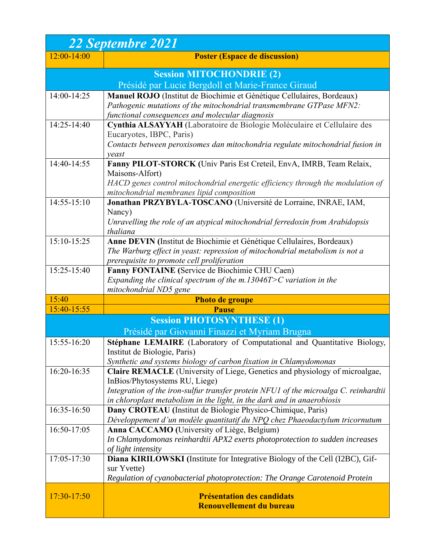| <b>22 Septembre 2021</b> |                                                                                                                                                |
|--------------------------|------------------------------------------------------------------------------------------------------------------------------------------------|
| $12:00 - 14:00$          | <b>Poster (Espace de discussion)</b>                                                                                                           |
|                          | <b>Session MITOCHONDRIE (2)</b>                                                                                                                |
|                          | Présidé par Lucie Bergdoll et Marie-France Giraud                                                                                              |
| 14:00-14:25              | Manuel ROJO (Institut de Biochimie et Génétique Cellulaires, Bordeaux)<br>Pathogenic mutations of the mitochondrial transmembrane GTPase MFN2: |
|                          | functional consequences and molecular diagnosis                                                                                                |
| 14:25-14:40              | Cynthia ALSAYYAH (Laboratoire de Biologie Moléculaire et Cellulaire des<br>Eucaryotes, IBPC, Paris)                                            |
|                          | Contacts between peroxisomes dan mitochondria regulate mitochondrial fusion in<br>veast                                                        |
| 14:40-14:55              | Fanny PILOT-STORCK (Univ Paris Est Creteil, EnvA, IMRB, Team Relaix,                                                                           |
|                          | Maisons-Alfort)                                                                                                                                |
|                          | HACD genes control mitochondrial energetic efficiency through the modulation of<br>mitochondrial membranes lipid composition                   |
| 14:55-15:10              | Jonathan PRZYBYLA-TOSCANO (Université de Lorraine, INRAE, IAM,                                                                                 |
|                          | Nancy)                                                                                                                                         |
|                          | Unravelling the role of an atypical mitochondrial ferredoxin from Arabidopsis                                                                  |
|                          | thaliana                                                                                                                                       |
| 15:10-15:25              | Anne DEVIN (Institut de Biochimie et Génétique Cellulaires, Bordeaux)                                                                          |
|                          | The Warburg effect in yeast: repression of mitochondrial metabolism is not a                                                                   |
|                          | prerequisite to promote cell proliferation                                                                                                     |
| $15:25 - 15:40$          | Fanny FONTAINE (Service de Biochimie CHU Caen)                                                                                                 |
|                          | Expanding the clinical spectrum of the $m.13046T>C$ variation in the                                                                           |
|                          | mitochondrial ND5 gene                                                                                                                         |
| 15:40<br>15:40-15:55     | <b>Photo de groupe</b>                                                                                                                         |
|                          | <b>Pause</b>                                                                                                                                   |
|                          | <b>Session PHOTOSYNTHESE (1)</b><br>Présidé par Giovanni Finazzi et Myriam Brugna                                                              |
| 15:55-16:20              |                                                                                                                                                |
|                          | Stéphane LEMAIRE (Laboratory of Computational and Quantitative Biology,<br>Institut de Biologie, Paris)                                        |
|                          | Synthetic and systems biology of carbon fixation in Chlamydomonas                                                                              |
| 16:20-16:35              | Claire REMACLE (University of Liege, Genetics and physiology of microalgae,                                                                    |
|                          | InBios/Phytosystems RU, Liege)                                                                                                                 |
|                          | Integration of the iron-sulfur transfer protein NFU1 of the microalga C. reinhardtii                                                           |
|                          | in chloroplast metabolism in the light, in the dark and in anaerobiosis                                                                        |
| 16:35-16:50              | Dany CROTEAU (Institut de Biologie Physico-Chimique, Paris)                                                                                    |
|                          | Développement d'un modèle quantitatif du NPQ chez Phaeodactylum tricornutum                                                                    |
| 16:50-17:05              | Anna CACCAMO (University of Liège, Belgium)                                                                                                    |
|                          | In Chlamydomonas reinhardtii APX2 exerts photoprotection to sudden increases                                                                   |
|                          | of light intensity                                                                                                                             |
| 17:05-17:30              | Diana KIRILOWSKI (Institute for Integrative Biology of the Cell (I2BC), Gif-                                                                   |
|                          | sur Yvette)                                                                                                                                    |
|                          | Regulation of cyanobacterial photoprotection: The Orange Carotenoid Protein                                                                    |
| 17:30-17:50              | <b>Présentation des candidats</b><br><b>Renouvellement du bureau</b>                                                                           |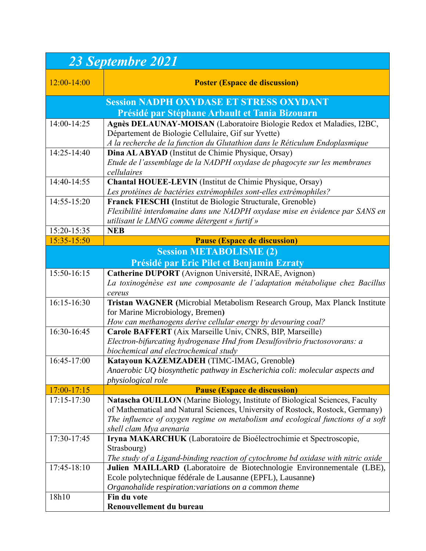| 23 Septembre 2021                              |                                                                                                                                      |  |
|------------------------------------------------|--------------------------------------------------------------------------------------------------------------------------------------|--|
| $12:00-14:00$                                  | <b>Poster (Espace de discussion)</b>                                                                                                 |  |
|                                                | <b>Session NADPH OXYDASE ET STRESS OXYDANT</b>                                                                                       |  |
| Présidé par Stéphane Arbault et Tania Bizouarn |                                                                                                                                      |  |
| 14:00-14:25                                    | Agnès DELAUNAY-MOISAN (Laboratoire Biologie Redox et Maladies, I2BC,                                                                 |  |
|                                                | Département de Biologie Cellulaire, Gif sur Yvette)                                                                                  |  |
|                                                | A la recherche de la function du Glutathion dans le Réticulum Endoplasmique                                                          |  |
| $14:25-14:40$                                  | Dina AL ABYAD (Institut de Chimie Physique, Orsay)                                                                                   |  |
|                                                | Etude de l'assemblage de la NADPH oxydase de phagocyte sur les membranes<br>cellulaires                                              |  |
| 14:40-14:55                                    | Chantal HOUEE-LEVIN (Institut de Chimie Physique, Orsay)                                                                             |  |
|                                                | Les protéines de bactéries extrémophiles sont-elles extrémophiles?                                                                   |  |
| 14:55-15:20                                    | Franck FIESCHI (Institut de Biologie Structurale, Grenoble)                                                                          |  |
|                                                | Flexibilité interdomaine dans une NADPH oxydase mise en évidence par SANS en                                                         |  |
|                                                | utilisant le LMNG comme détergent « furtif »                                                                                         |  |
| 15:20-15:35                                    | <b>NEB</b>                                                                                                                           |  |
| 15:35-15:50                                    | <b>Pause (Espace de discussion)</b>                                                                                                  |  |
|                                                | <b>Session METABOLISME (2)</b>                                                                                                       |  |
|                                                | Présidé par Eric Pilet et Benjamin Ezraty                                                                                            |  |
| 15:50-16:15                                    | Catherine DUPORT (Avignon Université, INRAE, Avignon)                                                                                |  |
|                                                | La toxinogénèse est une composante de l'adaptation métabolique chez Bacillus                                                         |  |
|                                                | cereus                                                                                                                               |  |
| $16:15-16:30$                                  | Tristan WAGNER (Microbial Metabolism Research Group, Max Planck Institute                                                            |  |
|                                                | for Marine Microbiology, Bremen)                                                                                                     |  |
|                                                | How can methanogens derive cellular energy by devouring coal?                                                                        |  |
| 16:30-16:45                                    | Carole BAFFERT (Aix Marseille Univ, CNRS, BIP, Marseille)                                                                            |  |
|                                                | Electron-bifurcating hydrogenase Hnd from Desulfovibrio fructosovorans: a                                                            |  |
| 16:45-17:00                                    | biochemical and electrochemical study<br>Katayoun KAZEMZADEH (TIMC-IMAG, Grenoble)                                                   |  |
|                                                | Anaerobic UQ biosynthetic pathway in Escherichia coli: molecular aspects and                                                         |  |
|                                                | physiological role                                                                                                                   |  |
| 17:00-17:15                                    | <b>Pause (Espace de discussion)</b>                                                                                                  |  |
| 17:15-17:30                                    | Natascha OUILLON (Marine Biology, Institute of Biological Sciences, Faculty                                                          |  |
|                                                | of Mathematical and Natural Sciences, University of Rostock, Rostock, Germany)                                                       |  |
|                                                | The influence of oxygen regime on metabolism and ecological functions of a soft                                                      |  |
|                                                | shell clam Mya arenaria                                                                                                              |  |
| 17:30-17:45                                    | Iryna MAKARCHUK (Laboratoire de Bioélectrochimie et Spectroscopie,                                                                   |  |
|                                                | Strasbourg)                                                                                                                          |  |
|                                                | The study of a Ligand-binding reaction of cytochrome bd oxidase with nitric oxide                                                    |  |
| 17:45-18:10                                    | Julien MAILLARD (Laboratoire de Biotechnologie Environnementale (LBE),<br>Ecole polytechnique fédérale de Lausanne (EPFL), Lausanne) |  |
|                                                | Organohalide respiration: variations on a common theme                                                                               |  |
| 18h10                                          | Fin du vote                                                                                                                          |  |
|                                                | Renouvellement du bureau                                                                                                             |  |